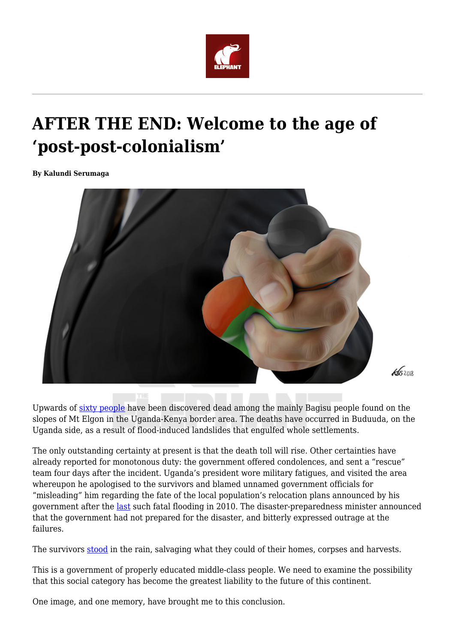

## **AFTER THE END: Welcome to the age of 'post-post-colonialism'**

**By Kalundi Serumaga**



Upwards of [sixty people](https://www.aljazeera.com/news/2018/10/landslide-eastern-uganda-kills-dozens-destroys-homes-181012054813104.html) have been discovered dead among the mainly Bagisu people found on the slopes of Mt Elgon in the Uganda-Kenya border area. The deaths have occurred in Buduuda, on the Uganda side, as a result of flood-induced landslides that engulfed whole settlements.

The only outstanding certainty at present is that the death toll will rise. Other certainties have already reported for monotonous duty: the government offered condolences, and sent a "rescue" team four days after the incident. Uganda's president wore military fatigues, and visited the area whereupon he apologised to the survivors and blamed unnamed government officials for "misleading" him regarding the fate of the local population's relocation plans announced by his government after the [last](http://edition.cnn.com/2010/WORLD/africa/03/02/uganda.landslide/index.html) such fatal flooding in 2010. The disaster-preparedness minister announced that the government had not prepared for the disaster, and bitterly expressed outrage at the failures.

The survivors [stood](https://www.aljazeera.com/news/2018/10/landslide-eastern-uganda-kills-dozens-destroys-homes-181012054813104.html) in the rain, salvaging what they could of their homes, corpses and harvests.

This is a government of properly educated middle-class people. We need to examine the possibility that this social category has become the greatest liability to the future of this continent.

One image, and one memory, have brought me to this conclusion.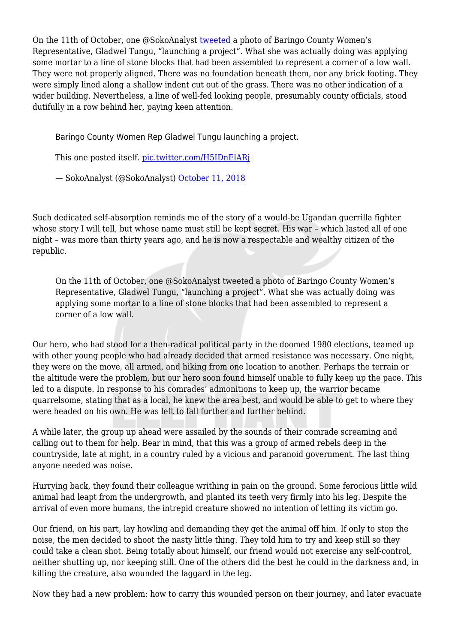On the 11th of October, one @SokoAnalyst [tweeted](https://twitter.com/SokoAnalyst/status/1050426777049415682) a photo of Baringo County Women's Representative, Gladwel Tungu, "launching a project". What she was actually doing was applying some mortar to a line of stone blocks that had been assembled to represent a corner of a low wall. They were not properly aligned. There was no foundation beneath them, nor any brick footing. They were simply lined along a shallow indent cut out of the grass. There was no other indication of a wider building. Nevertheless, a line of well-fed looking people, presumably county officials, stood dutifully in a row behind her, paying keen attention.

Baringo County Women Rep Gladwel Tungu launching a project.

This one posted itself. [pic.twitter.com/H5IDnElARj](https://t.co/H5IDnElARj)

— SokoAnalyst (@SokoAnalyst) [October 11, 2018](https://twitter.com/SokoAnalyst/status/1050426777049415682?ref_src=twsrc%5Etfw)

Such dedicated self-absorption reminds me of the story of a would-be Ugandan guerrilla fighter whose story I will tell, but whose name must still be kept secret. His war – which lasted all of one night – was more than thirty years ago, and he is now a respectable and wealthy citizen of the republic.

On the 11th of October, one @SokoAnalyst tweeted a photo of Baringo County Women's Representative, Gladwel Tungu, "launching a project". What she was actually doing was applying some mortar to a line of stone blocks that had been assembled to represent a corner of a low wall.

Our hero, who had stood for a then-radical political party in the doomed 1980 elections, teamed up with other young people who had already decided that armed resistance was necessary. One night, they were on the move, all armed, and hiking from one location to another. Perhaps the terrain or the altitude were the problem, but our hero soon found himself unable to fully keep up the pace. This led to a dispute. In response to his comrades' admonitions to keep up, the warrior became quarrelsome, stating that as a local, he knew the area best, and would be able to get to where they were headed on his own. He was left to fall further and further behind.

A while later, the group up ahead were assailed by the sounds of their comrade screaming and calling out to them for help. Bear in mind, that this was a group of armed rebels deep in the countryside, late at night, in a country ruled by a vicious and paranoid government. The last thing anyone needed was noise.

Hurrying back, they found their colleague writhing in pain on the ground. Some ferocious little wild animal had leapt from the undergrowth, and planted its teeth very firmly into his leg. Despite the arrival of even more humans, the intrepid creature showed no intention of letting its victim go.

Our friend, on his part, lay howling and demanding they get the animal off him. If only to stop the noise, the men decided to shoot the nasty little thing. They told him to try and keep still so they could take a clean shot. Being totally about himself, our friend would not exercise any self-control, neither shutting up, nor keeping still. One of the others did the best he could in the darkness and, in killing the creature, also wounded the laggard in the leg.

Now they had a new problem: how to carry this wounded person on their journey, and later evacuate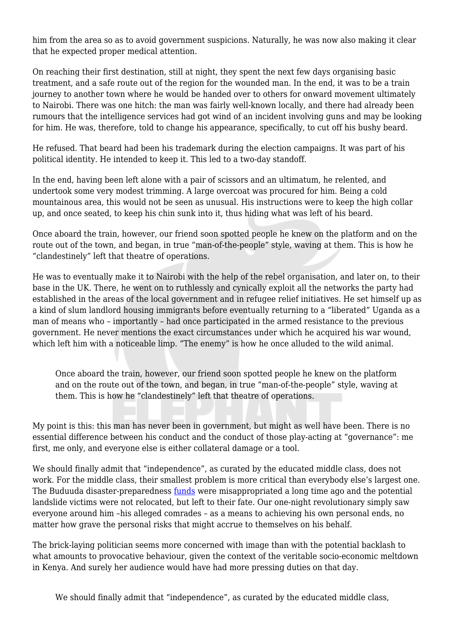him from the area so as to avoid government suspicions. Naturally, he was now also making it clear that he expected proper medical attention.

On reaching their first destination, still at night, they spent the next few days organising basic treatment, and a safe route out of the region for the wounded man. In the end, it was to be a train journey to another town where he would be handed over to others for onward movement ultimately to Nairobi. There was one hitch: the man was fairly well-known locally, and there had already been rumours that the intelligence services had got wind of an incident involving guns and may be looking for him. He was, therefore, told to change his appearance, specifically, to cut off his bushy beard.

He refused. That beard had been his trademark during the election campaigns. It was part of his political identity. He intended to keep it. This led to a two-day standoff.

In the end, having been left alone with a pair of scissors and an ultimatum, he relented, and undertook some very modest trimming. A large overcoat was procured for him. Being a cold mountainous area, this would not be seen as unusual. His instructions were to keep the high collar up, and once seated, to keep his chin sunk into it, thus hiding what was left of his beard.

Once aboard the train, however, our friend soon spotted people he knew on the platform and on the route out of the town, and began, in true "man-of-the-people" style, waving at them. This is how he "clandestinely" left that theatre of operations.

He was to eventually make it to Nairobi with the help of the rebel organisation, and later on, to their base in the UK. There, he went on to ruthlessly and cynically exploit all the networks the party had established in the areas of the local government and in refugee relief initiatives. He set himself up as a kind of slum landlord housing immigrants before eventually returning to a "liberated" Uganda as a man of means who – importantly – had once participated in the armed resistance to the previous government. He never mentions the exact circumstances under which he acquired his war wound, which left him with a noticeable limp. "The enemy" is how he once alluded to the wild animal.

Once aboard the train, however, our friend soon spotted people he knew on the platform and on the route out of the town, and began, in true "man-of-the-people" style, waving at them. This is how he "clandestinely" left that theatre of operations.

My point is this: this man has never been in government, but might as well have been. There is no essential difference between his conduct and the conduct of those play-acting at "governance": me first, me only, and everyone else is either collateral damage or a tool.

We should finally admit that "independence", as curated by the educated middle class, does not work. For the middle class, their smallest problem is more critical than everybody else's largest one. The Buduuda disaster-preparedness [funds](https://www.ifrc.org/PageFiles/41164/UGANDA-report.pdf) were misappropriated a long time ago and the potential landslide victims were not relocated, but left to their fate. Our one-night revolutionary simply saw everyone around him –his alleged comrades – as a means to achieving his own personal ends, no matter how grave the personal risks that might accrue to themselves on his behalf.

The brick-laying politician seems more concerned with image than with the potential backlash to what amounts to provocative behaviour, given the context of the veritable socio-economic meltdown in Kenya. And surely her audience would have had more pressing duties on that day.

We should finally admit that "independence", as curated by the educated middle class,